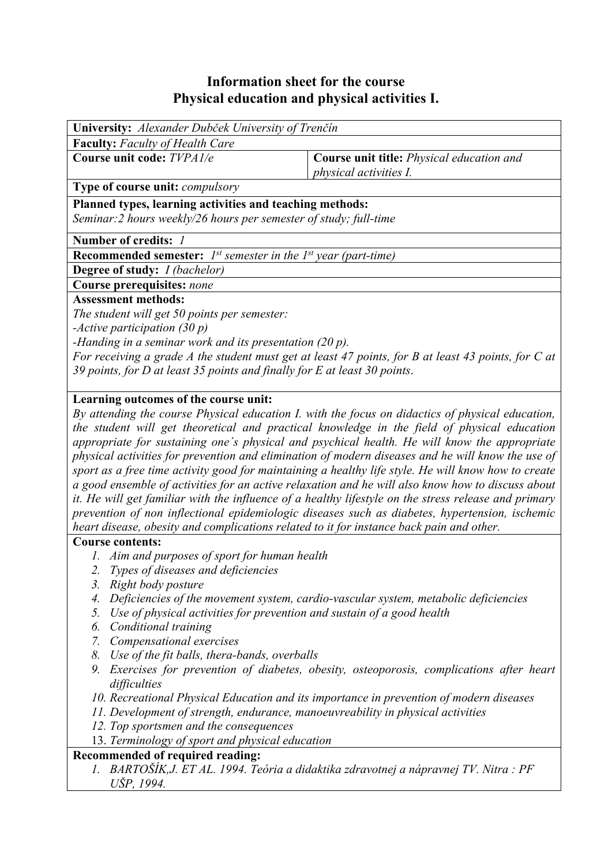## **Information sheet for the course Physical education and physical activities I.**

| University: Alexander Dubček University of Trenčín                                                  |                                                  |  |  |  |  |  |
|-----------------------------------------------------------------------------------------------------|--------------------------------------------------|--|--|--|--|--|
| <b>Faculty:</b> Faculty of Health Care                                                              |                                                  |  |  |  |  |  |
| Course unit code: TVPA1/e                                                                           | <b>Course unit title:</b> Physical education and |  |  |  |  |  |
|                                                                                                     | <i>physical activities I.</i>                    |  |  |  |  |  |
| Type of course unit: compulsory                                                                     |                                                  |  |  |  |  |  |
| Planned types, learning activities and teaching methods:                                            |                                                  |  |  |  |  |  |
| Seminar: 2 hours weekly/26 hours per semester of study; full-time                                   |                                                  |  |  |  |  |  |
| Number of credits: 1                                                                                |                                                  |  |  |  |  |  |
| <b>Recommended semester:</b> $I^{st}$ semester in the $I^{st}$ year (part-time)                     |                                                  |  |  |  |  |  |
| <b>Degree of study:</b> <i>I (bachelor)</i>                                                         |                                                  |  |  |  |  |  |
| Course prerequisites: none                                                                          |                                                  |  |  |  |  |  |
| <b>Assessment methods:</b>                                                                          |                                                  |  |  |  |  |  |
| The student will get 50 points per semester:                                                        |                                                  |  |  |  |  |  |
| -Active participation $(30 p)$                                                                      |                                                  |  |  |  |  |  |
| -Handing in a seminar work and its presentation $(20 p)$ .                                          |                                                  |  |  |  |  |  |
| For receiving a grade A the student must get at least 47 points, for B at least 43 points, for C at |                                                  |  |  |  |  |  |
| 39 points, for $D$ at least 35 points and finally for $E$ at least 30 points.                       |                                                  |  |  |  |  |  |
|                                                                                                     |                                                  |  |  |  |  |  |
| Learning outcomes of the course unit:                                                               |                                                  |  |  |  |  |  |
| By attending the course Physical education I. with the focus on didactics of physical education,    |                                                  |  |  |  |  |  |
| the student will get theoretical and practical knowledge in the field of physical education         |                                                  |  |  |  |  |  |
| appropriate for sustaining one's physical and psychical health. He will know the appropriate        |                                                  |  |  |  |  |  |
| physical activities for prevention and elimination of modern diseases and he will know the use of   |                                                  |  |  |  |  |  |

*sport as a free time activity good for maintaining a healthy life style. He will know how to create a good ensemble of activities for an active relaxation and he will also know how to discuss about it. He will get familiar with the influence of a healthy lifestyle on the stress release and primary prevention of non inflectional epidemiologic diseases such as diabetes, hypertension, ischemic heart disease, obesity and complications related to it for instance back pain and other.* 

## **Course contents:**

- *1. Aim and purposes of sport for human health*
- *2. Types of diseases and deficiencies*
- *3. Right body posture*
- *4. Deficiencies of the movement system, cardio-vascular system, metabolic deficiencies*
- *5. Use of physical activities for prevention and sustain of a good health*
- *6. Conditional training*
- *7. Compensational exercises*
- *8. Use of the fit balls, thera-bands, overballs*
- *9. Exercises for prevention of diabetes, obesity, osteoporosis, complications after heart difficulties*
- *10. Recreational Physical Education and its importance in prevention of modern diseases*
- *11. Development of strength, endurance, manoeuvreability in physical activities*
- *12. Top sportsmen and the consequences*
- 13. *Terminology of sport and physical education*

## **Recommended of required reading:**

*1. BARTOŠÍK,J. ET AL. 1994. Teória a didaktika zdravotnej a nápravnej TV. Nitra : PF UŠP, 1994.*